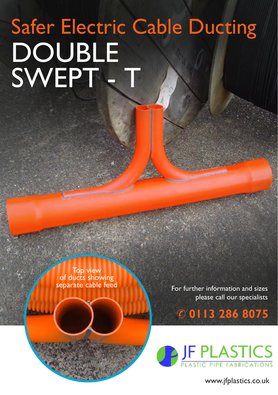## DOUBLE SWEPT - T Safer Electric Cable Ducting

Top view<br>of ducts showing separate cable feed

For further information and sizes please call our specialists

& **0113 286 8075**



www.jfplastics.co.uk